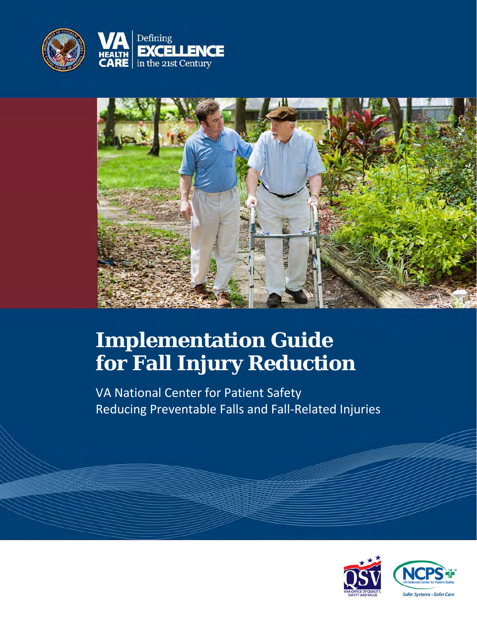



# **Implementation Guide for Fall Injury Reduction**

VA National Center for Patient Safety Reducing Preventable Falls and Fall-Related Injuries

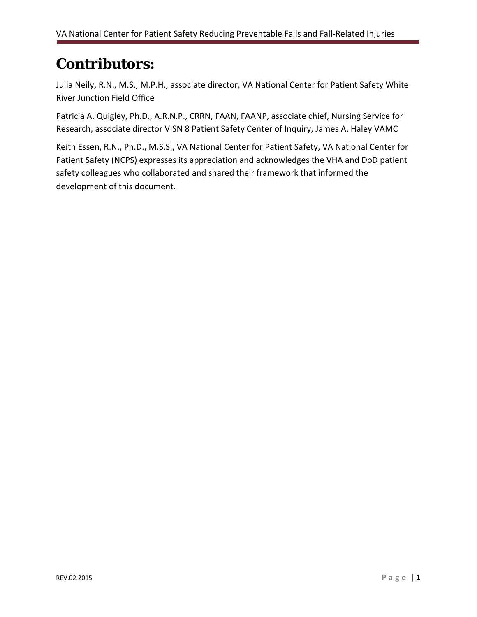## **Contributors:**

Julia Neily, R.N., M.S., M.P.H., associate director, VA National Center for Patient Safety White River Junction Field Office

Patricia A. Quigley, Ph.D., A.R.N.P., CRRN, FAAN, FAANP, associate chief, Nursing Service for Research, associate director VISN 8 Patient Safety Center of Inquiry, James A. Haley VAMC

Keith Essen, R.N., Ph.D., M.S.S., VA National Center for Patient Safety, VA National Center for Patient Safety (NCPS) expresses its appreciation and acknowledges the VHA and DoD patient safety colleagues who collaborated and shared their framework that informed the development of this document.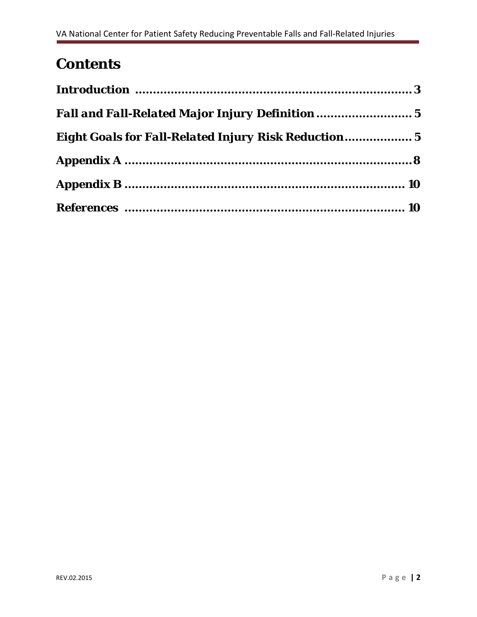# **Contents**

| <b>Fall and Fall-Related Major Injury Definition </b> 5     |  |
|-------------------------------------------------------------|--|
| <b>Eight Goals for Fall-Related Injury Risk Reduction 5</b> |  |
|                                                             |  |
|                                                             |  |
|                                                             |  |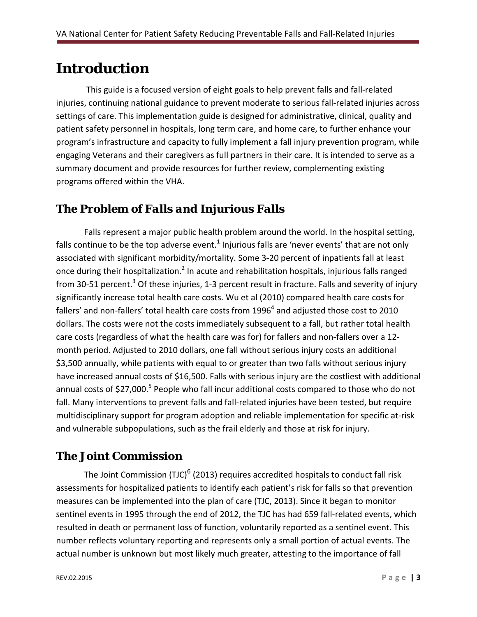### **Introduction**

 This guide is a focused version of eight goals to help prevent falls and fall-related injuries, continuing national guidance to prevent moderate to serious fall-related injuries across settings of care. This implementation guide is designed for administrative, clinical, quality and patient safety personnel in hospitals, long term care, and home care, to further enhance your program's infrastructure and capacity to fully implement a fall injury prevention program, while engaging Veterans and their caregivers as full partners in their care. It is intended to serve as a summary document and provide resources for further review, complementing existing programs offered within the VHA.

### *The Problem of Falls and Injurious Falls*

Falls represent a major public health problem around the world. In the hospital setting, falls continue to be the top adverse event.<sup>1</sup> Injurious falls are 'never events' that are not only associated with significant morbidity/mortality. Some 3-20 percent of inpatients fall at least once during their hospitalization.<sup>2</sup> In acute and rehabilitation hospitals, injurious falls ranged from 30-51 percent.<sup>3</sup> Of these injuries, 1-3 percent result in fracture. Falls and severity of injury significantly increase total health care costs. Wu et al (2010) compared health care costs for fallers' and non-fallers' total health care costs from 1996<sup>4</sup> and adjusted those cost to 2010 dollars. The costs were not the costs immediately subsequent to a fall, but rather total health care costs (regardless of what the health care was for) for fallers and non-fallers over a 12 month period. Adjusted to 2010 dollars, one fall without serious injury costs an additional \$3,500 annually, while patients with equal to or greater than two falls without serious injury have increased annual costs of \$16,500. Falls with serious injury are the costliest with additional annual costs of  $$27,000$ .<sup>5</sup> People who fall incur additional costs compared to those who do not fall. Many interventions to prevent falls and fall-related injuries have been tested, but require multidisciplinary support for program adoption and reliable implementation for specific at-risk and vulnerable subpopulations, such as the frail elderly and those at risk for injury.

### *The Joint Commission*

The Joint Commission (TJC) $<sup>6</sup>$  (2013) requires accredited hospitals to conduct fall risk</sup> assessments for hospitalized patients to identify each patient's risk for falls so that prevention measures can be implemented into the plan of care (TJC, 2013). Since it began to monitor sentinel events in 1995 through the end of 2012, the TJC has had 659 fall-related events, which resulted in death or permanent loss of function, voluntarily reported as a sentinel event. This number reflects voluntary reporting and represents only a small portion of actual events. The actual number is unknown but most likely much greater, attesting to the importance of fall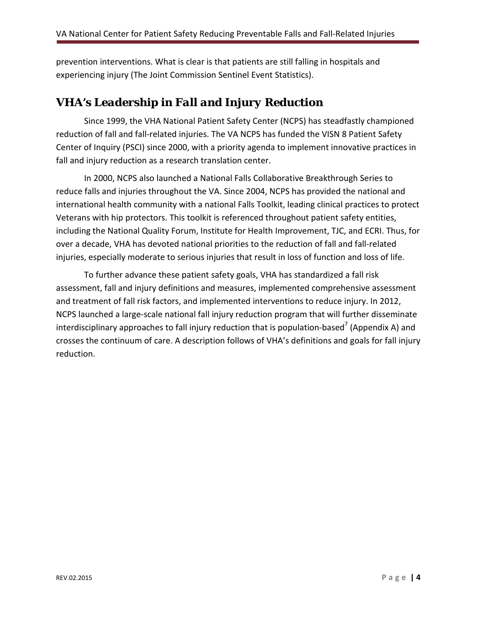prevention interventions. What is clear is that patients are still falling in hospitals and experiencing injury (The Joint Commission Sentinel Event Statistics).

### *VHA's Leadership in Fall and Injury Reduction*

Since 1999, the VHA National Patient Safety Center (NCPS) has steadfastly championed reduction of fall and fall-related injuries. The VA NCPS has funded the VISN 8 Patient Safety Center of Inquiry (PSCI) since 2000, with a priority agenda to implement innovative practices in fall and injury reduction as a research translation center.

In 2000, NCPS also launched a National Falls Collaborative Breakthrough Series to reduce falls and injuries throughout the VA. Since 2004, NCPS has provided the national and international health community with a national Falls Toolkit, leading clinical practices to protect Veterans with hip protectors. This toolkit is referenced throughout patient safety entities, including the National Quality Forum, Institute for Health Improvement, TJC, and ECRI. Thus, for over a decade, VHA has devoted national priorities to the reduction of fall and fall-related injuries, especially moderate to serious injuries that result in loss of function and loss of life.

To further advance these patient safety goals, VHA has standardized a fall risk assessment, fall and injury definitions and measures, implemented comprehensive assessment and treatment of fall risk factors, and implemented interventions to reduce injury. In 2012, NCPS launched a large-scale national fall injury reduction program that will further disseminate interdisciplinary approaches to fall injury reduction that is population-based<sup>7</sup> (Appendix A) and crosses the continuum of care. A description follows of VHA's definitions and goals for fall injury reduction.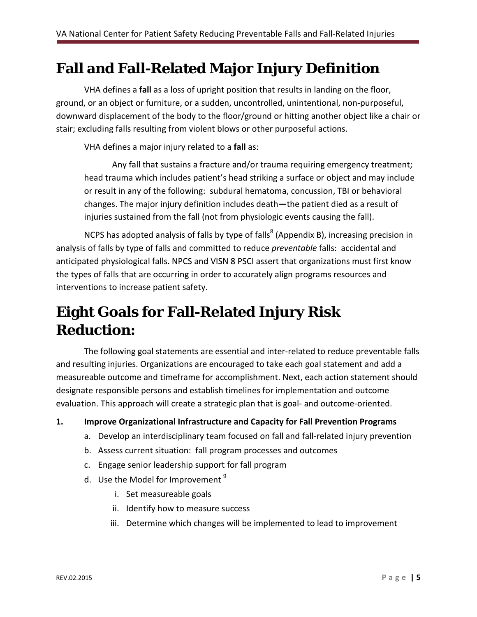### **Fall and Fall-Related Major Injury Definition**

VHA defines a **fall** as a loss of upright position that results in landing on the floor, ground, or an object or furniture, or a sudden, uncontrolled, unintentional, non-purposeful, downward displacement of the body to the floor/ground or hitting another object like a chair or stair; excluding falls resulting from violent blows or other purposeful actions.

VHA defines a major injury related to a **fall** as:

Any fall that sustains a fracture and/or trauma requiring emergency treatment; head trauma which includes patient's head striking a surface or object and may include or result in any of the following: subdural hematoma, concussion, TBI or behavioral changes. The major injury definition includes death**—**the patient died as a result of injuries sustained from the fall (not from physiologic events causing the fall).

NCPS has adopted analysis of falls by type of falls<sup>8</sup> (Appendix B), increasing precision in analysis of falls by type of falls and committed to reduce *preventable* falls: accidental and anticipated physiological falls. NPCS and VISN 8 PSCI assert that organizations must first know the types of falls that are occurring in order to accurately align programs resources and interventions to increase patient safety.

# **Eight Goals for Fall-Related Injury Risk Reduction:**

The following goal statements are essential and inter-related to reduce preventable falls and resulting injuries. Organizations are encouraged to take each goal statement and add a measureable outcome and timeframe for accomplishment. Next, each action statement should designate responsible persons and establish timelines for implementation and outcome evaluation. This approach will create a strategic plan that is goal- and outcome-oriented.

**1. Improve Organizational Infrastructure and Capacity for Fall Prevention Programs** 

- a. Develop an interdisciplinary team focused on fall and fall-related injury prevention
- b. Assess current situation: fall program processes and outcomes
- c. Engage senior leadership support for fall program
- d. Use the Model for Improvement<sup>9</sup>
	- i. Set measureable goals
	- ii. Identify how to measure success
	- iii. Determine which changes will be implemented to lead to improvement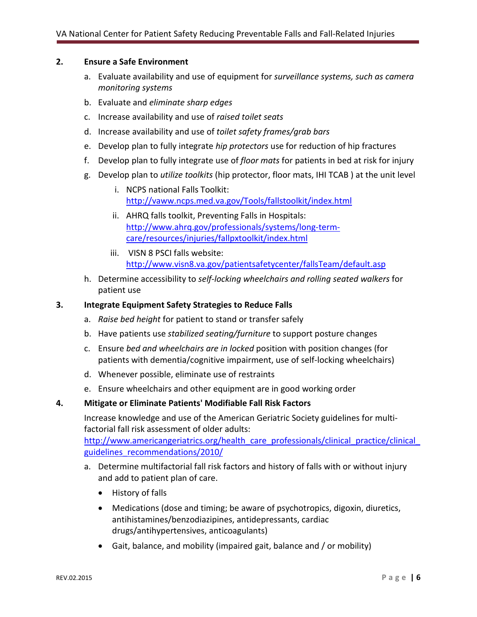#### **2. Ensure a Safe Environment**

- a. Evaluate availability and use of equipment for *surveillance systems, such as camera monitoring systems*
- b. Evaluate and *eliminate sharp edges*
- c. Increase availability and use of *raised toilet seats*
- d. Increase availability and use of *toilet safety frames/grab bars*
- e. Develop plan to fully integrate *hip protectors* use for reduction of hip fractures
- f. Develop plan to fully integrate use of *floor mats* for patients in bed at risk for injury
- g. Develop plan to *utilize toolkits* (hip protector, floor mats, IHI TCAB ) at the unit level
	- i. NCPS national Falls Toolkit: <http://vaww.ncps.med.va.gov/Tools/fallstoolkit/index.html>
	- ii. AHRQ falls toolkit, Preventing Falls in Hospitals: [http://www.ahrq.gov/professionals/systems/long-term](http://www.ahrq.gov/professionals/systems/long-term-care/resources/injuries/fallpxtoolkit/index.html)[care/resources/injuries/fallpxtoolkit/index.html](http://www.ahrq.gov/professionals/systems/long-term-care/resources/injuries/fallpxtoolkit/index.html)
	- iii. VISN 8 PSCI falls website: <http://www.visn8.va.gov/patientsafetycenter/fallsTeam/default.asp>
- h. Determine accessibility to *self-locking wheelchairs and rolling seated walkers* for patient use

#### **3. Integrate Equipment Safety Strategies to Reduce Falls**

- a. *Raise bed height* for patient to stand or transfer safely
- b. Have patients use *stabilized seating/furniture* to support posture changes
- c. Ensure *bed and wheelchairs are in locked* position with position changes (for patients with dementia/cognitive impairment, use of self-locking wheelchairs)
- d. Whenever possible, eliminate use of restraints
- e. Ensure wheelchairs and other equipment are in good working order

#### **4. Mitigate or Eliminate Patients' Modifiable Fall Risk Factors**

Increase knowledge and use of the American Geriatric Society guidelines for multifactorial fall risk assessment of older adults:

http://www.americangeriatrics.org/health care professionals/clinical practice/clinical [guidelines\\_recommendations/2010/](http://www.americangeriatrics.org/health_care_professionals/clinical_practice/clinical_%20guidelines_recommendations/2010/) 

- a. Determine multifactorial fall risk factors and history of falls with or without injury and add to patient plan of care.
	- History of falls
	- Medications (dose and timing; be aware of psychotropics, digoxin, diuretics, antihistamines/benzodiazipines, antidepressants, cardiac drugs/antihypertensives, anticoagulants)
	- Gait, balance, and mobility (impaired gait, balance and / or mobility)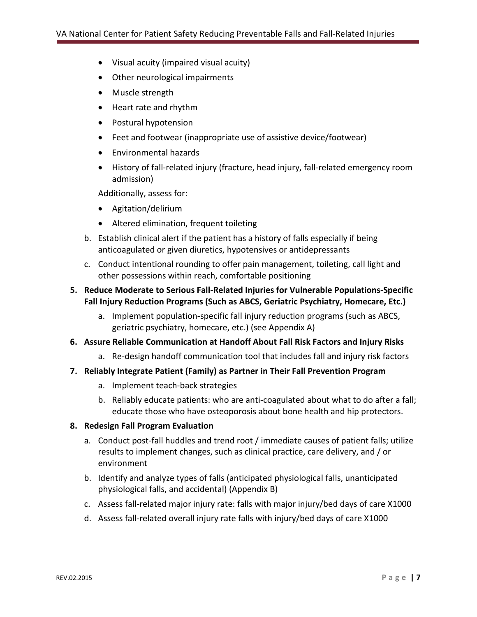- Visual acuity (impaired visual acuity)
- Other neurological impairments
- Muscle strength
- Heart rate and rhythm
- Postural hypotension
- Feet and footwear (inappropriate use of assistive device/footwear)
- Environmental hazards
- History of fall-related injury (fracture, head injury, fall-related emergency room admission)

Additionally, assess for:

- Agitation/delirium
- Altered elimination, frequent toileting
- b. Establish clinical alert if the patient has a history of falls especially if being anticoagulated or given diuretics, hypotensives or antidepressants
- c. Conduct intentional rounding to offer pain management, toileting, call light and other possessions within reach, comfortable positioning

#### **5. Reduce Moderate to Serious Fall-Related Injuries for Vulnerable Populations-Specific Fall Injury Reduction Programs (Such as ABCS, Geriatric Psychiatry, Homecare, Etc.)**

- a. Implement population-specific fall injury reduction programs (such as ABCS, geriatric psychiatry, homecare, etc.) (see Appendix A)
- **6. Assure Reliable Communication at Handoff About Fall Risk Factors and Injury Risks**
	- a. Re-design handoff communication tool that includes fall and injury risk factors
- **7. Reliably Integrate Patient (Family) as Partner in Their Fall Prevention Program**
	- a. Implement teach-back strategies
	- b. Reliably educate patients: who are anti-coagulated about what to do after a fall; educate those who have osteoporosis about bone health and hip protectors.

#### **8. Redesign Fall Program Evaluation**

- a. Conduct post-fall huddles and trend root / immediate causes of patient falls; utilize results to implement changes, such as clinical practice, care delivery, and / or environment
- b. Identify and analyze types of falls (anticipated physiological falls, unanticipated physiological falls, and accidental) (Appendix B)
- c. Assess fall-related major injury rate: falls with major injury/bed days of care X1000
- d. Assess fall-related overall injury rate falls with injury/bed days of care X1000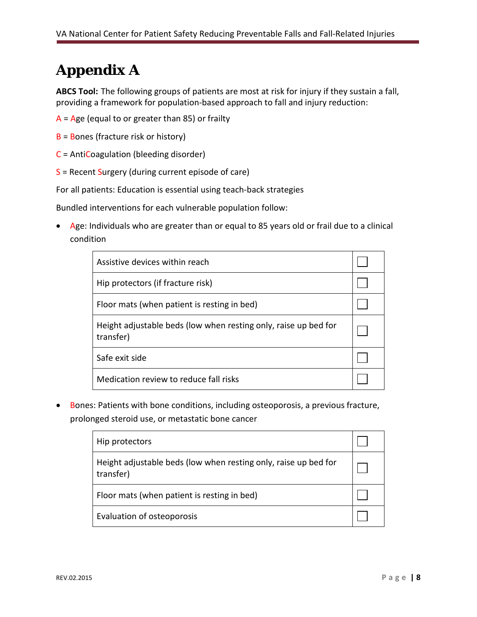# **Appendix A**

**ABCS Tool:** The following groups of patients are most at risk for injury if they sustain a fall, providing a framework for population-based approach to fall and injury reduction:

- $A = Age$  (equal to or greater than 85) or frailty
- B = Bones (fracture risk or history)
- C = AntiCoagulation (bleeding disorder)
- S = Recent Surgery (during current episode of care)

For all patients: Education is essential using teach-back strategies

Bundled interventions for each vulnerable population follow:

• Age: Individuals who are greater than or equal to 85 years old or frail due to a clinical condition

| Assistive devices within reach                                               |  |
|------------------------------------------------------------------------------|--|
| Hip protectors (if fracture risk)                                            |  |
| Floor mats (when patient is resting in bed)                                  |  |
| Height adjustable beds (low when resting only, raise up bed for<br>transfer) |  |
| Safe exit side                                                               |  |
| Medication review to reduce fall risks                                       |  |

• Bones: Patients with bone conditions, including osteoporosis, a previous fracture, prolonged steroid use, or metastatic bone cancer

| Hip protectors                                                               |  |
|------------------------------------------------------------------------------|--|
| Height adjustable beds (low when resting only, raise up bed for<br>transfer) |  |
| Floor mats (when patient is resting in bed)                                  |  |
| Evaluation of osteoporosis                                                   |  |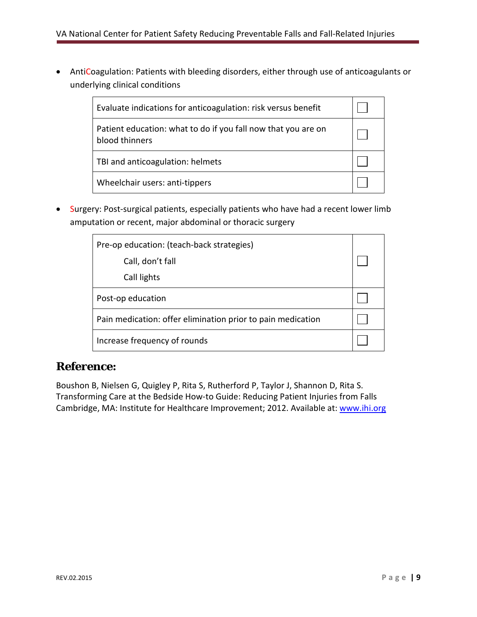• AntiCoagulation: Patients with bleeding disorders, either through use of anticoagulants or underlying clinical conditions

| Evaluate indications for anticoagulation: risk versus benefit                   |  |
|---------------------------------------------------------------------------------|--|
| Patient education: what to do if you fall now that you are on<br>blood thinners |  |
| TBI and anticoagulation: helmets                                                |  |
| Wheelchair users: anti-tippers                                                  |  |

• Surgery: Post-surgical patients, especially patients who have had a recent lower limb amputation or recent, major abdominal or thoracic surgery

| Pre-op education: (teach-back strategies)                   |  |
|-------------------------------------------------------------|--|
| Call, don't fall                                            |  |
| Call lights                                                 |  |
| Post-op education                                           |  |
| Pain medication: offer elimination prior to pain medication |  |
| Increase frequency of rounds                                |  |

### *Reference:*

Boushon B, Nielsen G, Quigley P, Rita S, Rutherford P, Taylor J, Shannon D, Rita S. Transforming Care at the Bedside How-to Guide: Reducing Patient Injuries from Falls Cambridge, MA: Institute for Healthcare Improvement; 2012. Available at: [www.ihi.org](http://www.ihi.org/)